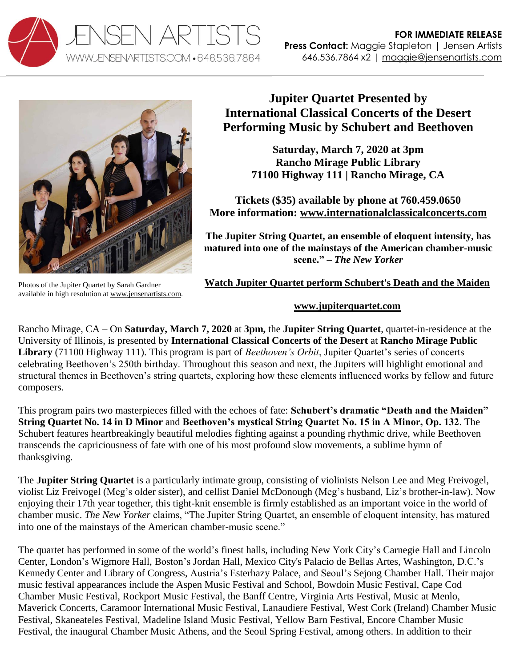



Photos of the Jupiter Quartet by Sarah Gardner available in high resolution at [www.jensenartists.com.](http://www.jensenartists.com/jupiter-string-quartet)

## **Jupiter Quartet Presented by International Classical Concerts of the Desert Performing Music by Schubert and Beethoven**

**Saturday, March 7, 2020 at 3pm Rancho Mirage Public Library 71100 Highway 111 | Rancho Mirage, CA**

**Tickets (\$35) available by phone at 760.459.0650 More information: [www.internationalclassicalconcerts.com](http://www.internationalclassicalconcerts.com/)**

**The Jupiter String Quartet, an ensemble of eloquent intensity, has matured into one of the mainstays of the American chamber-music scene." –** *The New Yorker*

**[Watch Jupiter Quartet perform Schubert's Death and the Maiden](https://vimeo.com/115453429)**

## **[www.jupiterquartet.com](http://www.jupiterquartet.com/)**

Rancho Mirage, CA – On **Saturday, March 7, 2020** at **3pm,** the **Jupiter String Quartet**, quartet-in-residence at the University of Illinois, is presented by **International Classical Concerts of the Desert** at **Rancho Mirage Public Library** (71100 Highway 111). This program is part of *Beethoven's Orbit*, Jupiter Quartet's series of concerts celebrating Beethoven's 250th birthday. Throughout this season and next, the Jupiters will highlight emotional and structural themes in Beethoven's string quartets, exploring how these elements influenced works by fellow and future composers.

This program pairs two masterpieces filled with the echoes of fate: **Schubert's dramatic "Death and the Maiden" String Quartet No. 14 in D Minor** and **Beethoven's mystical String Quartet No. 15 in A Minor, Op. 132**. The Schubert features heartbreakingly beautiful melodies fighting against a pounding rhythmic drive, while Beethoven transcends the capriciousness of fate with one of his most profound slow movements, a sublime hymn of thanksgiving.

The **Jupiter String Quartet** is a particularly intimate group, consisting of violinists Nelson Lee and Meg Freivogel, violist Liz Freivogel (Meg's older sister), and cellist Daniel McDonough (Meg's husband, Liz's brother-in-law). Now enjoying their 17th year together, this tight-knit ensemble is firmly established as an important voice in the world of chamber music. *The New Yorker* claims, "The Jupiter String Quartet, an ensemble of eloquent intensity, has matured into one of the mainstays of the American chamber-music scene."

The quartet has performed in some of the world's finest halls, including New York City's Carnegie Hall and Lincoln Center, London's Wigmore Hall, Boston's Jordan Hall, Mexico City's Palacio de Bellas Artes, Washington, D.C.'s Kennedy Center and Library of Congress, Austria's Esterhazy Palace, and Seoul's Sejong Chamber Hall. Their major music festival appearances include the Aspen Music Festival and School, Bowdoin Music Festival, Cape Cod Chamber Music Festival, Rockport Music Festival, the Banff Centre, Virginia Arts Festival, Music at Menlo, Maverick Concerts, Caramoor International Music Festival, Lanaudiere Festival, West Cork (Ireland) Chamber Music Festival, Skaneateles Festival, Madeline Island Music Festival, Yellow Barn Festival, Encore Chamber Music Festival, the inaugural Chamber Music Athens, and the Seoul Spring Festival, among others. In addition to their